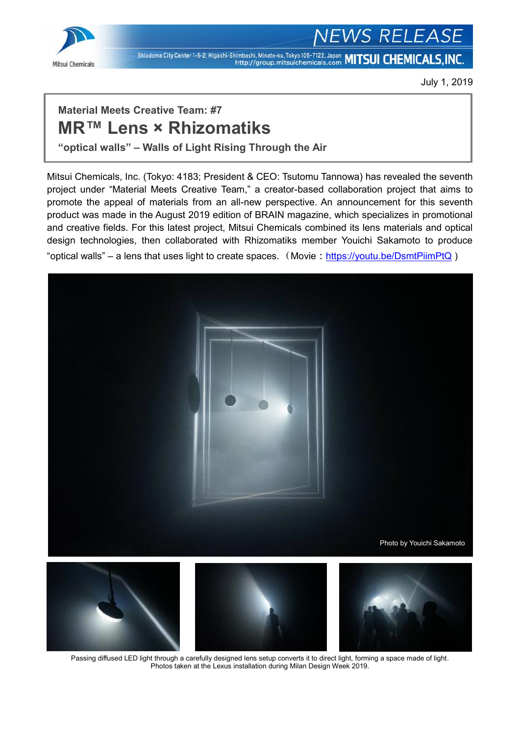

# *S RELEASE*

Shiodome City Center 1-5-2, Higashi-Shimbashi, Minato-ku, Tokyo 105-7122, Japan MITSUI CHEMICALS, INC.

July 1, 2019

## **Material Meets Creative Team: #7 MR™ Lens × Rhizomatiks**

**"optical walls" – Walls of Light Rising Through the Air**

Mitsui Chemicals, Inc. (Tokyo: 4183; President & CEO: Tsutomu Tannowa) has revealed the seventh project under "Material Meets Creative Team," a creator-based collaboration project that aims to promote the appeal of materials from an all-new perspective. An announcement for this seventh product was made in the August 2019 edition of BRAIN magazine, which specializes in promotional and creative fields. For this latest project, Mitsui Chemicals combined its lens materials and optical design technologies, then collaborated with Rhizomatiks member Youichi Sakamoto to produce "optical walls" – a lens that uses light to create spaces. (Movie: <https://youtu.be/DsmtPiimPtQ>)



Passing diffused LED light through a carefully designed lens setup converts it to direct light, forming a space made of light. Photos taken at the Lexus installation during Milan Design Week 2019.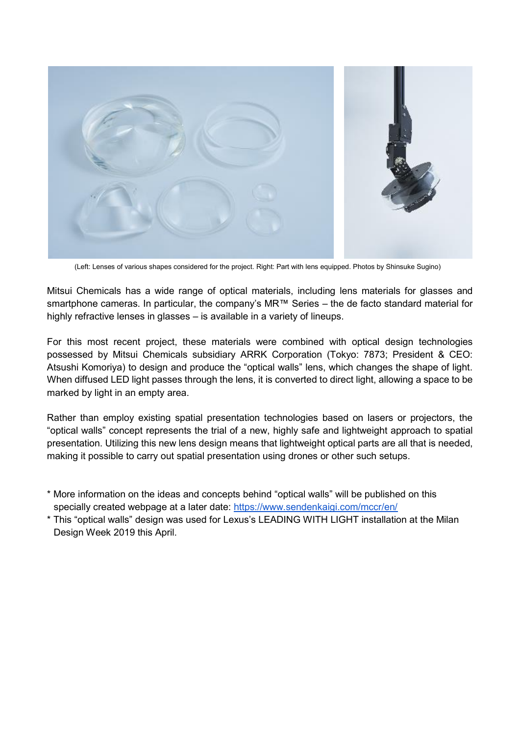

(Left: Lenses of various shapes considered for the project. Right: Part with lens equipped. Photos by Shinsuke Sugino)

Mitsui Chemicals has a wide range of optical materials, including lens materials for glasses and smartphone cameras. In particular, the company's MR<sup>™</sup> Series – the de facto standard material for highly refractive lenses in glasses – is available in a variety of lineups.

For this most recent project, these materials were combined with optical design technologies possessed by Mitsui Chemicals subsidiary ARRK Corporation (Tokyo: 7873; President & CEO: Atsushi Komoriya) to design and produce the "optical walls" lens, which changes the shape of light. When diffused LED light passes through the lens, it is converted to direct light, allowing a space to be marked by light in an empty area.

Rather than employ existing spatial presentation technologies based on lasers or projectors, the "optical walls" concept represents the trial of a new, highly safe and lightweight approach to spatial presentation. Utilizing this new lens design means that lightweight optical parts are all that is needed, making it possible to carry out spatial presentation using drones or other such setups.

- \* More information on the ideas and concepts behind "optical walls" will be published on this specially created webpage at a later date:<https://www.sendenkaigi.com/mccr/en/>
- \* This "optical walls" design was used for Lexus's LEADING WITH LIGHT installation at the Milan Design Week 2019 this April.